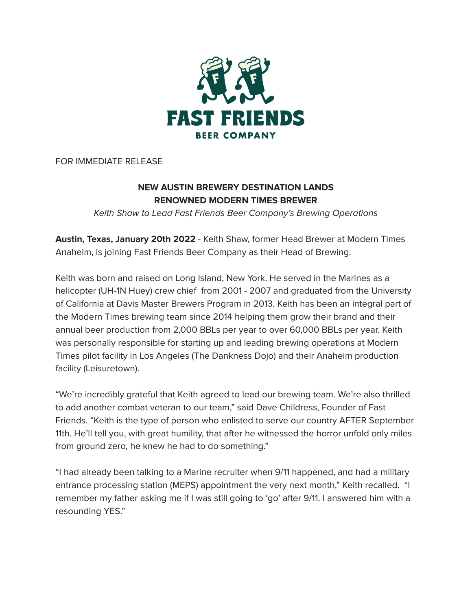

FOR IMMEDIATE RELEASE

## **NEW AUSTIN BREWERY DESTINATION LANDS RENOWNED MODERN TIMES BREWER**

Keith Shaw to Lead Fast Friends Beer Company's Brewing Operations

**Austin, Texas, January 20th 2022** - Keith Shaw, former Head Brewer at Modern Times Anaheim, is joining Fast Friends Beer Company as their Head of Brewing.

Keith was born and raised on Long Island, New York. He served in the Marines as a helicopter (UH-1N Huey) crew chief from 2001 - 2007 and graduated from the University of California at Davis Master Brewers Program in 2013. Keith has been an integral part of the Modern Times brewing team since 2014 helping them grow their brand and their annual beer production from 2,000 BBLs per year to over 60,000 BBLs per year. Keith was personally responsible for starting up and leading brewing operations at Modern Times pilot facility in Los Angeles (The Dankness Dojo) and their Anaheim production facility (Leisuretown).

"We're incredibly grateful that Keith agreed to lead our brewing team. We're also thrilled to add another combat veteran to our team," said Dave Childress, Founder of Fast Friends. "Keith is the type of person who enlisted to serve our country AFTER September 11th. He'll tell you, with great humility, that after he witnessed the horror unfold only miles from ground zero, he knew he had to do something."

"I had already been talking to a Marine recruiter when 9/11 happened, and had a military entrance processing station (MEPS) appointment the very next month," Keith recalled. "I remember my father asking me if I was still going to 'go' after 9/11. I answered him with a resounding YES."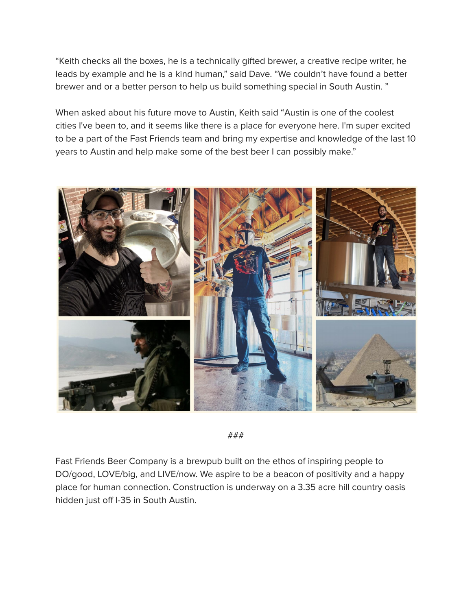"Keith checks all the boxes, he is a technically gifted brewer, a creative recipe writer, he leads by example and he is a kind human," said Dave. "We couldn't have found a better brewer and or a better person to help us build something special in South Austin. "

When asked about his future move to Austin, Keith said "Austin is one of the coolest cities I've been to, and it seems like there is a place for everyone here. I'm super excited to be a part of the Fast Friends team and bring my expertise and knowledge of the last 10 years to Austin and help make some of the best beer I can possibly make."



###

Fast Friends Beer Company is a brewpub built on the ethos of inspiring people to DO/good, LOVE/big, and LIVE/now. We aspire to be a beacon of positivity and a happy place for human connection. Construction is underway on a 3.35 acre hill country oasis hidden just off I-35 in South Austin.